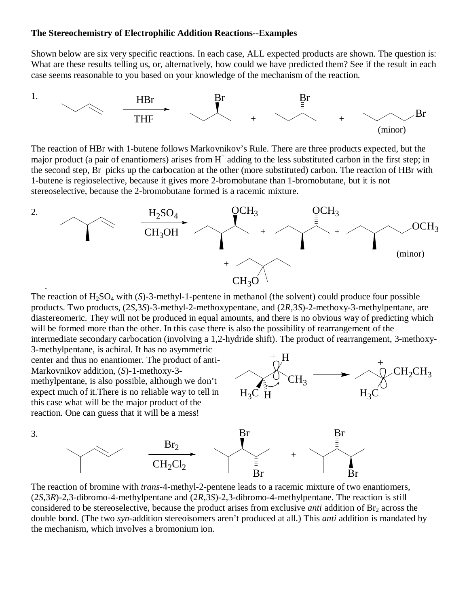## **The Stereochemistry of Electrophilic Addition Reactions--Examples**

Shown below are six very specific reactions. In each case, ALL expected products are shown. The question is: What are these results telling us, or, alternatively, how could we have predicted them? See if the result in each case seems reasonable to you based on your knowledge of the mechanism of the reaction.



The reaction of HBr with 1-butene follows Markovnikov's Rule. There are three products expected, but the major product (a pair of enantiomers) arises from  $H^+$  adding to the less substituted carbon in the first step; in the second step, Br<sup>-</sup>picks up the carbocation at the other (more substituted) carbon. The reaction of HBr with 1-butene is regioselective, because it gives more 2-bromobutane than 1-bromobutane, but it is not stereoselective, because the 2-bromobutane formed is a racemic mixture.



The reaction of  $H_2SO_4$  with  $(S)$ -3-methyl-1-pentene in methanol (the solvent) could produce four possible products. Two products, (2*S*,3*S*)-3-methyl-2-methoxypentane, and (2*R*,3*S*)-2-methoxy-3-methylpentane, are diastereomeric. They will not be produced in equal amounts, and there is no obvious way of predicting which will be formed more than the other. In this case there is also the possibility of rearrangement of the intermediate secondary carbocation (involving a 1,2-hydride shift). The product of rearrangement, 3-methoxy-3-methylpentane, is achiral. It has no asymmetric

center and thus no enantiomer. The product of anti-Markovnikov addition, (*S*)-1-methoxy-3 methylpentane, is also possible, although we don't expect much of it.There is no reliable way to tell in this case what will be the major product of the reaction. One can guess that it will be a mess!





The reaction of bromine with *trans*-4-methyl-2-pentene leads to a racemic mixture of two enantiomers, (2*S*,3*R*)-2,3-dibromo-4-methylpentane and (2*R*,3*S*)-2,3-dibromo-4-methylpentane. The reaction is still considered to be stereoselective, because the product arises from exclusive *anti* addition of Br<sub>2</sub> across the double bond. (The two *syn*-addition stereoisomers aren't produced at all.) This *anti* addition is mandated by the mechanism, which involves a bromonium ion.